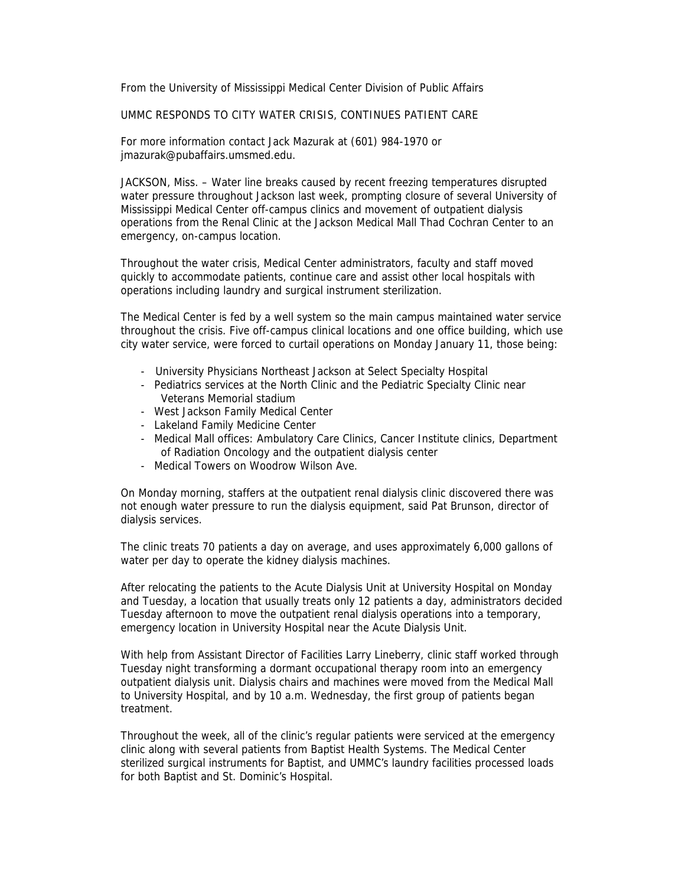From the University of Mississippi Medical Center Division of Public Affairs

UMMC RESPONDS TO CITY WATER CRISIS, CONTINUES PATIENT CARE

For more information contact Jack Mazurak at (601) 984-1970 or jmazurak@pubaffairs.umsmed.edu.

JACKSON, Miss. – Water line breaks caused by recent freezing temperatures disrupted water pressure throughout Jackson last week, prompting closure of several University of Mississippi Medical Center off-campus clinics and movement of outpatient dialysis operations from the Renal Clinic at the Jackson Medical Mall Thad Cochran Center to an emergency, on-campus location.

Throughout the water crisis, Medical Center administrators, faculty and staff moved quickly to accommodate patients, continue care and assist other local hospitals with operations including laundry and surgical instrument sterilization.

The Medical Center is fed by a well system so the main campus maintained water service throughout the crisis. Five off-campus clinical locations and one office building, which use city water service, were forced to curtail operations on Monday January 11, those being:

- University Physicians Northeast Jackson at Select Specialty Hospital
- Pediatrics services at the North Clinic and the Pediatric Specialty Clinic near Veterans Memorial stadium
- West Jackson Family Medical Center
- Lakeland Family Medicine Center
- Medical Mall offices: Ambulatory Care Clinics, Cancer Institute clinics, Department of Radiation Oncology and the outpatient dialysis center
- Medical Towers on Woodrow Wilson Ave.

On Monday morning, staffers at the outpatient renal dialysis clinic discovered there was not enough water pressure to run the dialysis equipment, said Pat Brunson, director of dialysis services.

The clinic treats 70 patients a day on average, and uses approximately 6,000 gallons of water per day to operate the kidney dialysis machines.

After relocating the patients to the Acute Dialysis Unit at University Hospital on Monday and Tuesday, a location that usually treats only 12 patients a day, administrators decided Tuesday afternoon to move the outpatient renal dialysis operations into a temporary, emergency location in University Hospital near the Acute Dialysis Unit.

With help from Assistant Director of Facilities Larry Lineberry, clinic staff worked through Tuesday night transforming a dormant occupational therapy room into an emergency outpatient dialysis unit. Dialysis chairs and machines were moved from the Medical Mall to University Hospital, and by 10 a.m. Wednesday, the first group of patients began treatment.

Throughout the week, all of the clinic's regular patients were serviced at the emergency clinic along with several patients from Baptist Health Systems. The Medical Center sterilized surgical instruments for Baptist, and UMMC's laundry facilities processed loads for both Baptist and St. Dominic's Hospital.